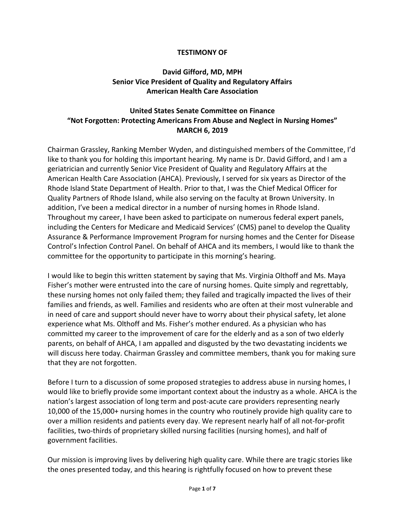#### **TESTIMONY OF**

## **David Gifford, MD, MPH Senior Vice President of Quality and Regulatory Affairs American Health Care Association**

# **United States Senate Committee on Finance "Not Forgotten: Protecting Americans From Abuse and Neglect in Nursing Homes" MARCH 6, 2019**

Chairman Grassley, Ranking Member Wyden, and distinguished members of the Committee, I'd like to thank you for holding this important hearing. My name is Dr. David Gifford, and I am a geriatrician and currently Senior Vice President of Quality and Regulatory Affairs at the American Health Care Association (AHCA). Previously, I served for six years as Director of the Rhode Island State Department of Health. Prior to that, I was the Chief Medical Officer for Quality Partners of Rhode Island, while also serving on the faculty at Brown University. In addition, I've been a medical director in a number of nursing homes in Rhode Island. Throughout my career, I have been asked to participate on numerous federal expert panels, including the Centers for Medicare and Medicaid Services' (CMS) panel to develop the Quality Assurance & Performance Improvement Program for nursing homes and the Center for Disease Control's Infection Control Panel. On behalf of AHCA and its members, I would like to thank the committee for the opportunity to participate in this morning's hearing.

I would like to begin this written statement by saying that Ms. Virginia Olthoff and Ms. Maya Fisher's mother were entrusted into the care of nursing homes. Quite simply and regrettably, these nursing homes not only failed them; they failed and tragically impacted the lives of their families and friends, as well. Families and residents who are often at their most vulnerable and in need of care and support should never have to worry about their physical safety, let alone experience what Ms. Olthoff and Ms. Fisher's mother endured. As a physician who has committed my career to the improvement of care for the elderly and as a son of two elderly parents, on behalf of AHCA, I am appalled and disgusted by the two devastating incidents we will discuss here today. Chairman Grassley and committee members, thank you for making sure that they are not forgotten.

Before I turn to a discussion of some proposed strategies to address abuse in nursing homes, I would like to briefly provide some important context about the industry as a whole. AHCA is the nation's largest association of long term and post-acute care providers representing nearly 10,000 of the 15,000+ nursing homes in the country who routinely provide high quality care to over a million residents and patients every day. We represent nearly half of all not-for-profit facilities, two-thirds of proprietary skilled nursing facilities (nursing homes), and half of government facilities.

Our mission is improving lives by delivering high quality care. While there are tragic stories like the ones presented today, and this hearing is rightfully focused on how to prevent these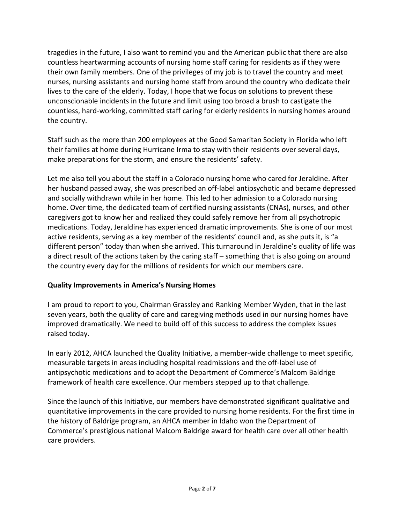tragedies in the future, I also want to remind you and the American public that there are also countless heartwarming accounts of nursing home staff caring for residents as if they were their own family members. One of the privileges of my job is to travel the country and meet nurses, nursing assistants and nursing home staff from around the country who dedicate their lives to the care of the elderly. Today, I hope that we focus on solutions to prevent these unconscionable incidents in the future and limit using too broad a brush to castigate the countless, hard-working, committed staff caring for elderly residents in nursing homes around the country.

Staff such as the more than 200 employees at the Good Samaritan Society in Florida who left their families at home during Hurricane Irma to stay with their residents over several days, make preparations for the storm, and ensure the residents' safety.

Let me also tell you about the staff in a Colorado nursing home who cared for Jeraldine. After her husband passed away, she was prescribed an off-label antipsychotic and became depressed and socially withdrawn while in her home. This led to her admission to a Colorado nursing home. Over time, the dedicated team of certified nursing assistants (CNAs), nurses, and other caregivers got to know her and realized they could safely remove her from all psychotropic medications. Today, Jeraldine has experienced dramatic improvements. She is one of our most active residents, serving as a key member of the residents' council and, as she puts it, is "a different person" today than when she arrived. This turnaround in Jeraldine's quality of life was a direct result of the actions taken by the caring staff – something that is also going on around the country every day for the millions of residents for which our members care.

# **Quality Improvements in America's Nursing Homes**

I am proud to report to you, Chairman Grassley and Ranking Member Wyden, that in the last seven years, both the quality of care and caregiving methods used in our nursing homes have improved dramatically. We need to build off of this success to address the complex issues raised today.

In early 2012, AHCA launched the Quality Initiative, a member-wide challenge to meet specific, measurable targets in areas including hospital readmissions and the off-label use of antipsychotic medications and to adopt the Department of Commerce's Malcom Baldrige framework of health care excellence. Our members stepped up to that challenge.

Since the launch of this Initiative, our members have demonstrated significant qualitative and quantitative improvements in the care provided to nursing home residents. For the first time in the history of Baldrige program, an AHCA member in Idaho won the Department of Commerce's prestigious national Malcom Baldrige award for health care over all other health care providers.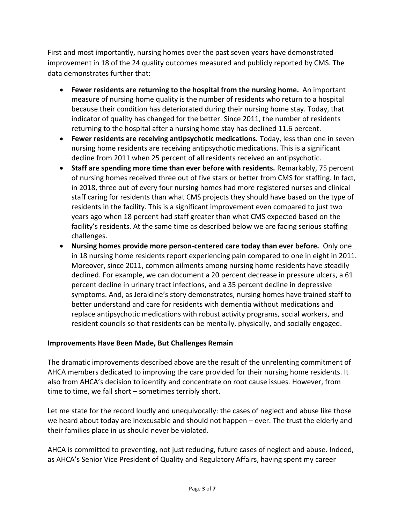First and most importantly, nursing homes over the past seven years have demonstrated improvement in 18 of the 24 quality outcomes measured and publicly reported by CMS. The data demonstrates further that:

- **Fewer residents are returning to the hospital from the nursing home.** An important measure of nursing home quality is the number of residents who return to a hospital because their condition has deteriorated during their nursing home stay. Today, that indicator of quality has changed for the better. Since 2011, the number of residents returning to the hospital after a nursing home stay has declined 11.6 percent.
- **Fewer residents are receiving antipsychotic medications.** Today, less than one in seven nursing home residents are receiving antipsychotic medications. This is a significant decline from 2011 when 25 percent of all residents received an antipsychotic.
- **Staff are spending more time than ever before with residents.** Remarkably, 75 percent of nursing homes received three out of five stars or better from CMS for staffing. In fact, in 2018, three out of every four nursing homes had more registered nurses and clinical staff caring for residents than what CMS projects they should have based on the type of residents in the facility. This is a significant improvement even compared to just two years ago when 18 percent had staff greater than what CMS expected based on the facility's residents. At the same time as described below we are facing serious staffing challenges.
- **Nursing homes provide more person-centered care today than ever before.** Only one in 18 nursing home residents report experiencing pain compared to one in eight in 2011. Moreover, since 2011, common ailments among nursing home residents have steadily declined. For example, we can document a 20 percent decrease in pressure ulcers, a 61 percent decline in urinary tract infections, and a 35 percent decline in depressive symptoms. And, as Jeraldine's story demonstrates, nursing homes have trained staff to better understand and care for residents with dementia without medications and replace antipsychotic medications with robust activity programs, social workers, and resident councils so that residents can be mentally, physically, and socially engaged.

#### **Improvements Have Been Made, But Challenges Remain**

The dramatic improvements described above are the result of the unrelenting commitment of AHCA members dedicated to improving the care provided for their nursing home residents. It also from AHCA's decision to identify and concentrate on root cause issues. However, from time to time, we fall short – sometimes terribly short.

Let me state for the record loudly and unequivocally: the cases of neglect and abuse like those we heard about today are inexcusable and should not happen – ever. The trust the elderly and their families place in us should never be violated.

AHCA is committed to preventing, not just reducing, future cases of neglect and abuse. Indeed, as AHCA's Senior Vice President of Quality and Regulatory Affairs, having spent my career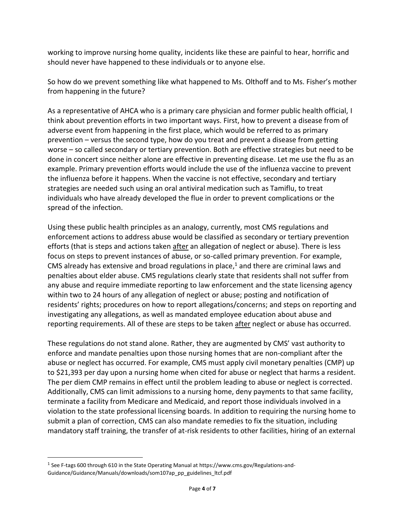working to improve nursing home quality, incidents like these are painful to hear, horrific and should never have happened to these individuals or to anyone else.

So how do we prevent something like what happened to Ms. Olthoff and to Ms. Fisher's mother from happening in the future?

As a representative of AHCA who is a primary care physician and former public health official, I think about prevention efforts in two important ways. First, how to prevent a disease from of adverse event from happening in the first place, which would be referred to as primary prevention – versus the second type, how do you treat and prevent a disease from getting worse – so called secondary or tertiary prevention. Both are effective strategies but need to be done in concert since neither alone are effective in preventing disease. Let me use the flu as an example. Primary prevention efforts would include the use of the influenza vaccine to prevent the influenza before it happens. When the vaccine is not effective, secondary and tertiary strategies are needed such using an oral antiviral medication such as Tamiflu, to treat individuals who have already developed the flue in order to prevent complications or the spread of the infection.

Using these public health principles as an analogy, currently, most CMS regulations and enforcement actions to address abuse would be classified as secondary or tertiary prevention efforts (that is steps and actions taken after an allegation of neglect or abuse). There is less focus on steps to prevent instances of abuse, or so-called primary prevention. For example, CMS already has extensive and broad regulations in place, $<sup>1</sup>$  and there are criminal laws and</sup> penalties about elder abuse. CMS regulations clearly state that residents shall not suffer from any abuse and require immediate reporting to law enforcement and the state licensing agency within two to 24 hours of any allegation of neglect or abuse; posting and notification of residents' rights; procedures on how to report allegations/concerns; and steps on reporting and investigating any allegations, as well as mandated employee education about abuse and reporting requirements. All of these are steps to be taken after neglect or abuse has occurred.

These regulations do not stand alone. Rather, they are augmented by CMS' vast authority to enforce and mandate penalties upon those nursing homes that are non-compliant after the abuse or neglect has occurred. For example, CMS must apply civil monetary penalties (CMP) up to \$21,393 per day upon a nursing home when cited for abuse or neglect that harms a resident. The per diem CMP remains in effect until the problem leading to abuse or neglect is corrected. Additionally, CMS can limit admissions to a nursing home, deny payments to that same facility, terminate a facility from Medicare and Medicaid, and report those individuals involved in a violation to the state professional licensing boards. In addition to requiring the nursing home to submit a plan of correction, CMS can also mandate remedies to fix the situation, including mandatory staff training, the transfer of at-risk residents to other facilities, hiring of an external

 $\overline{\phantom{a}}$ 

<sup>&</sup>lt;sup>1</sup> See F-tags 600 through 610 in the State Operating Manual at https://www.cms.gov/Regulations-and-Guidance/Guidance/Manuals/downloads/som107ap\_pp\_guidelines\_ltcf.pdf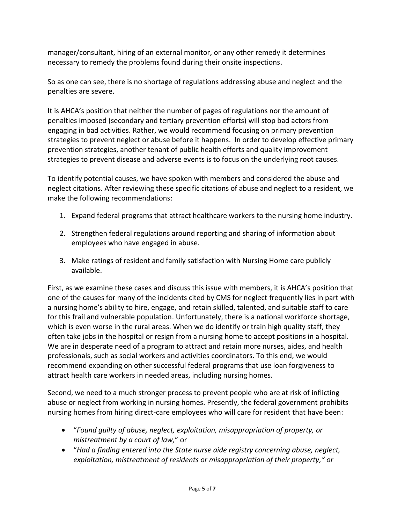manager/consultant, hiring of an external monitor, or any other remedy it determines necessary to remedy the problems found during their onsite inspections.

So as one can see, there is no shortage of regulations addressing abuse and neglect and the penalties are severe.

It is AHCA's position that neither the number of pages of regulations nor the amount of penalties imposed (secondary and tertiary prevention efforts) will stop bad actors from engaging in bad activities. Rather, we would recommend focusing on primary prevention strategies to prevent neglect or abuse before it happens. In order to develop effective primary prevention strategies, another tenant of public health efforts and quality improvement strategies to prevent disease and adverse events is to focus on the underlying root causes.

To identify potential causes, we have spoken with members and considered the abuse and neglect citations. After reviewing these specific citations of abuse and neglect to a resident, we make the following recommendations:

- 1. Expand federal programs that attract healthcare workers to the nursing home industry.
- 2. Strengthen federal regulations around reporting and sharing of information about employees who have engaged in abuse.
- 3. Make ratings of resident and family satisfaction with Nursing Home care publicly available.

First, as we examine these cases and discuss this issue with members, it is AHCA's position that one of the causes for many of the incidents cited by CMS for neglect frequently lies in part with a nursing home's ability to hire, engage, and retain skilled, talented, and suitable staff to care for this frail and vulnerable population. Unfortunately, there is a national workforce shortage, which is even worse in the rural areas. When we do identify or train high quality staff, they often take jobs in the hospital or resign from a nursing home to accept positions in a hospital. We are in desperate need of a program to attract and retain more nurses, aides, and health professionals, such as social workers and activities coordinators. To this end, we would recommend expanding on other successful federal programs that use loan forgiveness to attract health care workers in needed areas, including nursing homes.

Second, we need to a much stronger process to prevent people who are at risk of inflicting abuse or neglect from working in nursing homes. Presently, the federal government prohibits nursing homes from hiring direct-care employees who will care for resident that have been:

- "*Found guilty of abuse, neglect, exploitation, misappropriation of property, or mistreatment by a court of law,*" or
- "*Had a finding entered into the State nurse aide registry concerning abuse, neglect, exploitation, mistreatment of residents or misappropriation of their property," or*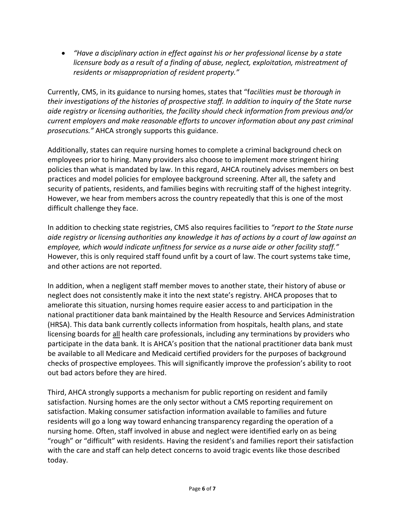*"Have a disciplinary action in effect against his or her professional license by a state licensure body as a result of a finding of abuse, neglect, exploitation, mistreatment of residents or misappropriation of resident property."*

Currently, CMS, in its guidance to nursing homes, states that "f*acilities must be thorough in their investigations of the histories of prospective staff. In addition to inquiry of the State nurse aide registry or licensing authorities, the facility should check information from previous and/or current employers and make reasonable efforts to uncover information about any past criminal prosecutions."* AHCA strongly supports this guidance.

Additionally, states can require nursing homes to complete a criminal background check on employees prior to hiring. Many providers also choose to implement more stringent hiring policies than what is mandated by law. In this regard, AHCA routinely advises members on best practices and model policies for employee background screening. After all, the safety and security of patients, residents, and families begins with recruiting staff of the highest integrity. However, we hear from members across the country repeatedly that this is one of the most difficult challenge they face.

In addition to checking state registries, CMS also requires facilities to *"report to the State nurse aide registry or licensing authorities any knowledge it has of actions by a court of law against an employee, which would indicate unfitness for service as a nurse aide or other facility staff."* However, this is only required staff found unfit by a court of law. The court systems take time, and other actions are not reported.

In addition, when a negligent staff member moves to another state, their history of abuse or neglect does not consistently make it into the next state's registry. AHCA proposes that to ameliorate this situation, nursing homes require easier access to and participation in the national practitioner data bank maintained by the Health Resource and Services Administration (HRSA). This data bank currently collects information from hospitals, health plans, and state licensing boards for all health care professionals, including any terminations by providers who participate in the data bank. It is AHCA's position that the national practitioner data bank must be available to all Medicare and Medicaid certified providers for the purposes of background checks of prospective employees. This will significantly improve the profession's ability to root out bad actors before they are hired.

Third, AHCA strongly supports a mechanism for public reporting on resident and family satisfaction. Nursing homes are the only sector without a CMS reporting requirement on satisfaction. Making consumer satisfaction information available to families and future residents will go a long way toward enhancing transparency regarding the operation of a nursing home. Often, staff involved in abuse and neglect were identified early on as being "rough" or "difficult" with residents. Having the resident's and families report their satisfaction with the care and staff can help detect concerns to avoid tragic events like those described today.